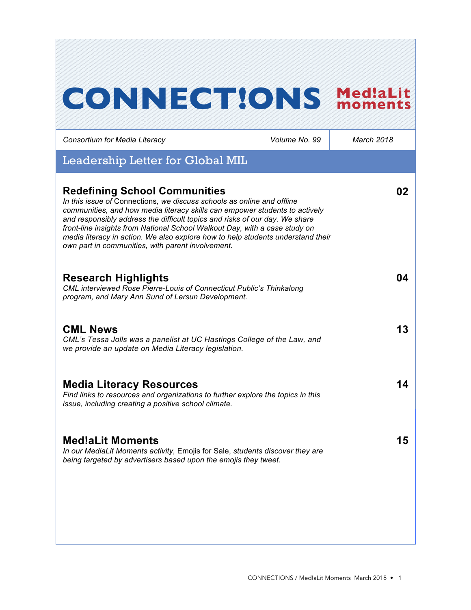# **CONNECTIONS MediaLit**

| Consortium for Media Literacy                                                                                                                                                                                                                                                                                                                                                                                                                                                                      | Volume No. 99 | March 2018 |
|----------------------------------------------------------------------------------------------------------------------------------------------------------------------------------------------------------------------------------------------------------------------------------------------------------------------------------------------------------------------------------------------------------------------------------------------------------------------------------------------------|---------------|------------|
| Leadership Letter for Global MIL                                                                                                                                                                                                                                                                                                                                                                                                                                                                   |               |            |
| <b>Redefining School Communities</b><br>In this issue of Connections, we discuss schools as online and offline<br>communities, and how media literacy skills can empower students to actively<br>and responsibly address the difficult topics and risks of our day. We share<br>front-line insights from National School Walkout Day, with a case study on<br>media literacy in action. We also explore how to help students understand their<br>own part in communities, with parent involvement. |               | 02         |
| <b>Research Highlights</b><br>CML interviewed Rose Pierre-Louis of Connecticut Public's Thinkalong<br>program, and Mary Ann Sund of Lersun Development.                                                                                                                                                                                                                                                                                                                                            |               | 04         |
| <b>CML News</b><br>CML's Tessa Jolls was a panelist at UC Hastings College of the Law, and<br>we provide an update on Media Literacy legislation.                                                                                                                                                                                                                                                                                                                                                  |               | 13         |
| <b>Media Literacy Resources</b><br>Find links to resources and organizations to further explore the topics in this<br>issue, including creating a positive school climate.                                                                                                                                                                                                                                                                                                                         |               | 14         |
| <b>Med!aLit Moments</b><br>In our MediaLit Moments activity, Emojis for Sale, students discover they are<br>being targeted by advertisers based upon the emojis they tweet.                                                                                                                                                                                                                                                                                                                        |               | 15         |
|                                                                                                                                                                                                                                                                                                                                                                                                                                                                                                    |               |            |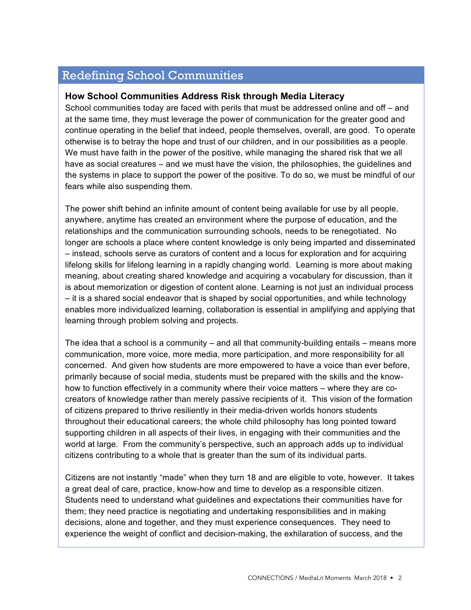# Redefining School Communities

#### **How School Communities Address Risk through Media Literacy**

School communities today are faced with perils that must be addressed online and off – and at the same time, they must leverage the power of communication for the greater good and continue operating in the belief that indeed, people themselves, overall, are good. To operate otherwise is to betray the hope and trust of our children, and in our possibilities as a people. We must have faith in the power of the positive, while managing the shared risk that we all have as social creatures – and we must have the vision, the philosophies, the guidelines and the systems in place to support the power of the positive. To do so, we must be mindful of our fears while also suspending them.

The power shift behind an infinite amount of content being available for use by all people, anywhere, anytime has created an environment where the purpose of education, and the relationships and the communication surrounding schools, needs to be renegotiated. No longer are schools a place where content knowledge is only being imparted and disseminated – instead, schools serve as curators of content and a locus for exploration and for acquiring lifelong skills for lifelong learning in a rapidly changing world. Learning is more about making meaning, about creating shared knowledge and acquiring a vocabulary for discussion, than it is about memorization or digestion of content alone. Learning is not just an individual process – it is a shared social endeavor that is shaped by social opportunities, and while technology enables more individualized learning, collaboration is essential in amplifying and applying that learning through problem solving and projects.

The idea that a school is a community – and all that community-building entails – means more communication, more voice, more media, more participation, and more responsibility for all concerned. And given how students are more empowered to have a voice than ever before, primarily because of social media, students must be prepared with the skills and the knowhow to function effectively in a community where their voice matters – where they are cocreators of knowledge rather than merely passive recipients of it. This vision of the formation of citizens prepared to thrive resiliently in their media-driven worlds honors students throughout their educational careers; the whole child philosophy has long pointed toward supporting children in all aspects of their lives, in engaging with their communities and the world at large. From the community's perspective, such an approach adds up to individual citizens contributing to a whole that is greater than the sum of its individual parts.

Citizens are not instantly "made" when they turn 18 and are eligible to vote, however. It takes a great deal of care, practice, know-how and time to develop as a responsible citizen. Students need to understand what guidelines and expectations their communities have for them; they need practice is negotiating and undertaking responsibilities and in making decisions, alone and together, and they must experience consequences. They need to experience the weight of conflict and decision-making, the exhilaration of success, and the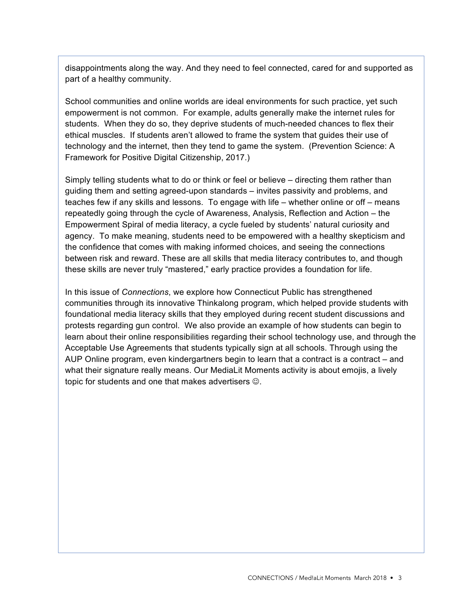disappointments along the way. And they need to feel connected, cared for and supported as part of a healthy community.

School communities and online worlds are ideal environments for such practice, yet such empowerment is not common. For example, adults generally make the internet rules for students. When they do so, they deprive students of much-needed chances to flex their ethical muscles. If students aren't allowed to frame the system that guides their use of technology and the internet, then they tend to game the system. (Prevention Science: A Framework for Positive Digital Citizenship, 2017.)

Simply telling students what to do or think or feel or believe – directing them rather than guiding them and setting agreed-upon standards – invites passivity and problems, and teaches few if any skills and lessons. To engage with life – whether online or off – means repeatedly going through the cycle of Awareness, Analysis, Reflection and Action – the Empowerment Spiral of media literacy, a cycle fueled by students' natural curiosity and agency. To make meaning, students need to be empowered with a healthy skepticism and the confidence that comes with making informed choices, and seeing the connections between risk and reward. These are all skills that media literacy contributes to, and though these skills are never truly "mastered," early practice provides a foundation for life.

In this issue of *Connections*, we explore how Connecticut Public has strengthened communities through its innovative Thinkalong program, which helped provide students with foundational media literacy skills that they employed during recent student discussions and protests regarding gun control. We also provide an example of how students can begin to learn about their online responsibilities regarding their school technology use, and through the Acceptable Use Agreements that students typically sign at all schools. Through using the AUP Online program, even kindergartners begin to learn that a contract is a contract – and what their signature really means. Our MediaLit Moments activity is about emojis, a lively topic for students and one that makes advertisers  $\odot$ .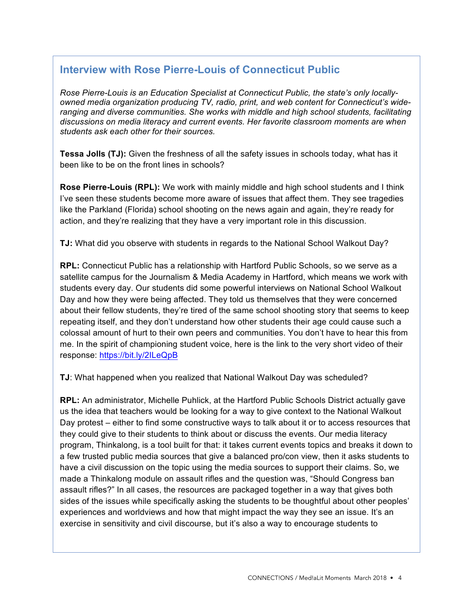# **Interview with Rose Pierre-Louis of Connecticut Public**

*Rose Pierre-Louis is an Education Specialist at Connecticut Public, the state's only locallyowned media organization producing TV, radio, print, and web content for Connecticut's wideranging and diverse communities. She works with middle and high school students, facilitating discussions on media literacy and current events. Her favorite classroom moments are when students ask each other for their sources.*

**Tessa Jolls (TJ):** Given the freshness of all the safety issues in schools today, what has it been like to be on the front lines in schools?

**Rose Pierre-Louis (RPL):** We work with mainly middle and high school students and I think I've seen these students become more aware of issues that affect them. They see tragedies like the Parkland (Florida) school shooting on the news again and again, they're ready for action, and they're realizing that they have a very important role in this discussion.

**TJ:** What did you observe with students in regards to the National School Walkout Day?

**RPL:** Connecticut Public has a relationship with Hartford Public Schools, so we serve as a satellite campus for the Journalism & Media Academy in Hartford, which means we work with students every day. Our students did some powerful interviews on National School Walkout Day and how they were being affected. They told us themselves that they were concerned about their fellow students, they're tired of the same school shooting story that seems to keep repeating itself, and they don't understand how other students their age could cause such a colossal amount of hurt to their own peers and communities. You don't have to hear this from me. In the spirit of championing student voice, here is the link to the very short video of their response: https://bit.ly/2ILeQpB

**TJ**: What happened when you realized that National Walkout Day was scheduled?

**RPL:** An administrator, Michelle Puhlick, at the Hartford Public Schools District actually gave us the idea that teachers would be looking for a way to give context to the National Walkout Day protest – either to find some constructive ways to talk about it or to access resources that they could give to their students to think about or discuss the events. Our media literacy program, Thinkalong, is a tool built for that: it takes current events topics and breaks it down to a few trusted public media sources that give a balanced pro/con view, then it asks students to have a civil discussion on the topic using the media sources to support their claims. So, we made a Thinkalong module on assault rifles and the question was, "Should Congress ban assault rifles?" In all cases, the resources are packaged together in a way that gives both sides of the issues while specifically asking the students to be thoughtful about other peoples' experiences and worldviews and how that might impact the way they see an issue. It's an exercise in sensitivity and civil discourse, but it's also a way to encourage students to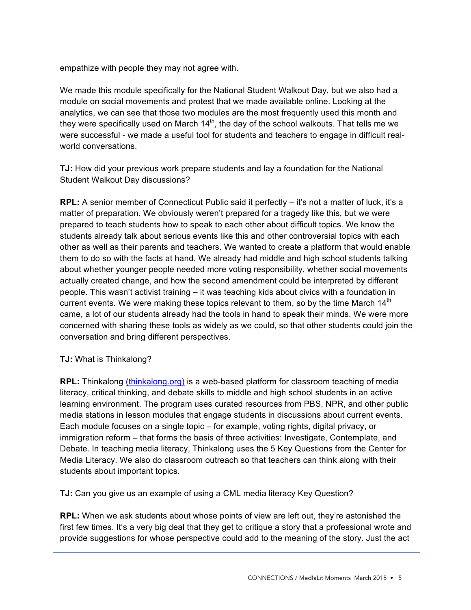empathize with people they may not agree with.

We made this module specifically for the National Student Walkout Day, but we also had a module on social movements and protest that we made available online. Looking at the analytics, we can see that those two modules are the most frequently used this month and they were specifically used on March  $14<sup>th</sup>$ , the day of the school walkouts. That tells me we were successful - we made a useful tool for students and teachers to engage in difficult realworld conversations.

**TJ:** How did your previous work prepare students and lay a foundation for the National Student Walkout Day discussions?

**RPL:** A senior member of Connecticut Public said it perfectly – it's not a matter of luck, it's a matter of preparation. We obviously weren't prepared for a tragedy like this, but we were prepared to teach students how to speak to each other about difficult topics. We know the students already talk about serious events like this and other controversial topics with each other as well as their parents and teachers. We wanted to create a platform that would enable them to do so with the facts at hand. We already had middle and high school students talking about whether younger people needed more voting responsibility, whether social movements actually created change, and how the second amendment could be interpreted by different people. This wasn't activist training – it was teaching kids about civics with a foundation in current events. We were making these topics relevant to them, so by the time March 14<sup>th</sup> came, a lot of our students already had the tools in hand to speak their minds. We were more concerned with sharing these tools as widely as we could, so that other students could join the conversation and bring different perspectives.

#### **TJ:** What is Thinkalong?

**RPL:** Thinkalong (thinkalong.org) is a web-based platform for classroom teaching of media literacy, critical thinking, and debate skills to middle and high school students in an active learning environment. The program uses curated resources from PBS, NPR, and other public media stations in lesson modules that engage students in discussions about current events. Each module focuses on a single topic – for example, voting rights, digital privacy, or immigration reform – that forms the basis of three activities: Investigate, Contemplate, and Debate. In teaching media literacy, Thinkalong uses the 5 Key Questions from the Center for Media Literacy. We also do classroom outreach so that teachers can think along with their students about important topics.

**TJ:** Can you give us an example of using a CML media literacy Key Question?

**RPL:** When we ask students about whose points of view are left out, they're astonished the first few times. It's a very big deal that they get to critique a story that a professional wrote and provide suggestions for whose perspective could add to the meaning of the story. Just the act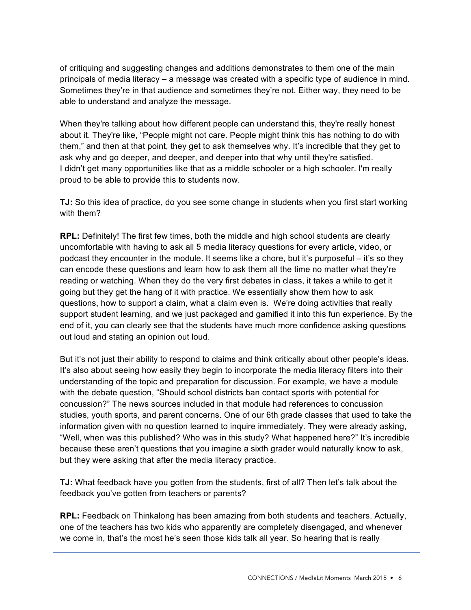of critiquing and suggesting changes and additions demonstrates to them one of the main principals of media literacy – a message was created with a specific type of audience in mind. Sometimes they're in that audience and sometimes they're not. Either way, they need to be able to understand and analyze the message.

When they're talking about how different people can understand this, they're really honest about it. They're like, "People might not care. People might think this has nothing to do with them," and then at that point, they get to ask themselves why. It's incredible that they get to ask why and go deeper, and deeper, and deeper into that why until they're satisfied. I didn't get many opportunities like that as a middle schooler or a high schooler. I'm really proud to be able to provide this to students now.

**TJ:** So this idea of practice, do you see some change in students when you first start working with them?

**RPL:** Definitely! The first few times, both the middle and high school students are clearly uncomfortable with having to ask all 5 media literacy questions for every article, video, or podcast they encounter in the module. It seems like a chore, but it's purposeful – it's so they can encode these questions and learn how to ask them all the time no matter what they're reading or watching. When they do the very first debates in class, it takes a while to get it going but they get the hang of it with practice. We essentially show them how to ask questions, how to support a claim, what a claim even is. We're doing activities that really support student learning, and we just packaged and gamified it into this fun experience. By the end of it, you can clearly see that the students have much more confidence asking questions out loud and stating an opinion out loud.

But it's not just their ability to respond to claims and think critically about other people's ideas. It's also about seeing how easily they begin to incorporate the media literacy filters into their understanding of the topic and preparation for discussion. For example, we have a module with the debate question, "Should school districts ban contact sports with potential for concussion?" The news sources included in that module had references to concussion studies, youth sports, and parent concerns. One of our 6th grade classes that used to take the information given with no question learned to inquire immediately. They were already asking, "Well, when was this published? Who was in this study? What happened here?" It's incredible because these aren't questions that you imagine a sixth grader would naturally know to ask, but they were asking that after the media literacy practice.

**TJ:** What feedback have you gotten from the students, first of all? Then let's talk about the feedback you've gotten from teachers or parents?

**RPL:** Feedback on Thinkalong has been amazing from both students and teachers. Actually, one of the teachers has two kids who apparently are completely disengaged, and whenever we come in, that's the most he's seen those kids talk all year. So hearing that is really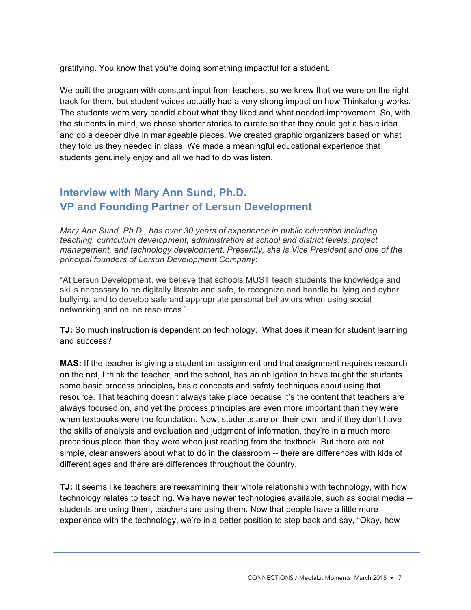gratifying. You know that you're doing something impactful for a student.

We built the program with constant input from teachers, so we knew that we were on the right track for them, but student voices actually had a very strong impact on how Thinkalong works. The students were very candid about what they liked and what needed improvement. So, with the students in mind, we chose shorter stories to curate so that they could get a basic idea and do a deeper dive in manageable pieces. We created graphic organizers based on what they told us they needed in class. We made a meaningful educational experience that students genuinely enjoy and all we had to do was listen.

# **Interview with Mary Ann Sund, Ph.D. VP and Founding Partner of Lersun Development**

*Mary Ann Sund, Ph.D., has over 30 years of experience in public education including teaching, curriculum development, administration at school and district levels, project management, and technology development*. *Presently, she is Vice President and one of the principal founders of Lersun Development Company*:

"At Lersun Development, we believe that schools MUST teach students the knowledge and skills necessary to be digitally literate and safe, to recognize and handle bullying and cyber bullying, and to develop safe and appropriate personal behaviors when using social networking and online resources."

**TJ:** So much instruction is dependent on technology. What does it mean for student learning and success?

**MAS:** If the teacher is giving a student an assignment and that assignment requires research on the net, I think the teacher, and the school, has an obligation to have taught the students some basic process principles**,** basic concepts and safety techniques about using that resource. That teaching doesn't always take place because it's the content that teachers are always focused on, and yet the process principles are even more important than they were when textbooks were the foundation. Now, students are on their own, and if they don't have the skills of analysis and evaluation and judgment of information, they're in a much more precarious place than they were when just reading from the textbook. But there are not simple, clear answers about what to do in the classroom -- there are differences with kids of different ages and there are differences throughout the country.

**TJ:** It seems like teachers are reexamining their whole relationship with technology, with how technology relates to teaching. We have newer technologies available, such as social media - students are using them, teachers are using them. Now that people have a little more experience with the technology, we're in a better position to step back and say, "Okay, how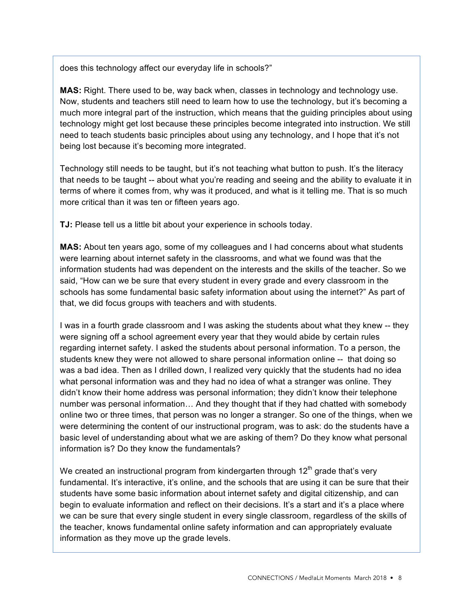does this technology affect our everyday life in schools?"

**MAS:** Right. There used to be, way back when, classes in technology and technology use. Now, students and teachers still need to learn how to use the technology, but it's becoming a much more integral part of the instruction, which means that the guiding principles about using technology might get lost because these principles become integrated into instruction. We still need to teach students basic principles about using any technology, and I hope that it's not being lost because it's becoming more integrated.

Technology still needs to be taught, but it's not teaching what button to push. It's the literacy that needs to be taught -- about what you're reading and seeing and the ability to evaluate it in terms of where it comes from, why was it produced, and what is it telling me. That is so much more critical than it was ten or fifteen years ago.

**TJ:** Please tell us a little bit about your experience in schools today.

**MAS:** About ten years ago, some of my colleagues and I had concerns about what students were learning about internet safety in the classrooms, and what we found was that the information students had was dependent on the interests and the skills of the teacher. So we said, "How can we be sure that every student in every grade and every classroom in the schools has some fundamental basic safety information about using the internet?" As part of that, we did focus groups with teachers and with students.

I was in a fourth grade classroom and I was asking the students about what they knew -- they were signing off a school agreement every year that they would abide by certain rules regarding internet safety. I asked the students about personal information. To a person, the students knew they were not allowed to share personal information online -- that doing so was a bad idea. Then as I drilled down, I realized very quickly that the students had no idea what personal information was and they had no idea of what a stranger was online. They didn't know their home address was personal information; they didn't know their telephone number was personal information… And they thought that if they had chatted with somebody online two or three times, that person was no longer a stranger. So one of the things, when we were determining the content of our instructional program, was to ask: do the students have a basic level of understanding about what we are asking of them? Do they know what personal information is? Do they know the fundamentals?

We created an instructional program from kindergarten through  $12<sup>th</sup>$  grade that's very fundamental. It's interactive, it's online, and the schools that are using it can be sure that their students have some basic information about internet safety and digital citizenship, and can begin to evaluate information and reflect on their decisions. It's a start and it's a place where we can be sure that every single student in every single classroom, regardless of the skills of the teacher, knows fundamental online safety information and can appropriately evaluate information as they move up the grade levels.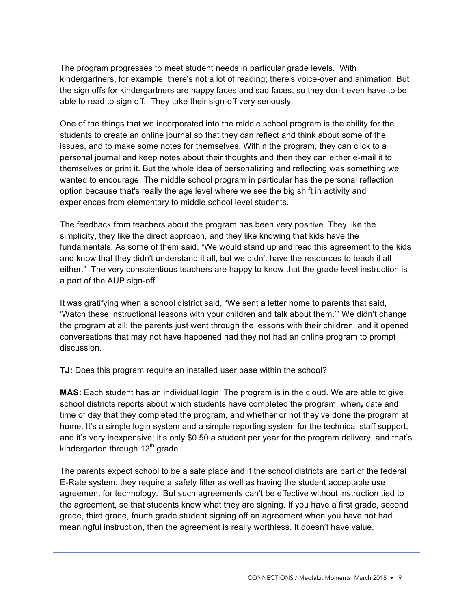The program progresses to meet student needs in particular grade levels. With kindergartners, for example, there's not a lot of reading; there's voice-over and animation. But the sign offs for kindergartners are happy faces and sad faces, so they don't even have to be able to read to sign off. They take their sign-off very seriously.

One of the things that we incorporated into the middle school program is the ability for the students to create an online journal so that they can reflect and think about some of the issues, and to make some notes for themselves. Within the program, they can click to a personal journal and keep notes about their thoughts and then they can either e-mail it to themselves or print it. But the whole idea of personalizing and reflecting was something we wanted to encourage. The middle school program in particular has the personal reflection option because that's really the age level where we see the big shift in activity and experiences from elementary to middle school level students.

The feedback from teachers about the program has been very positive. They like the simplicity, they like the direct approach, and they like knowing that kids have the fundamentals. As some of them said, "We would stand up and read this agreement to the kids and know that they didn't understand it all, but we didn't have the resources to teach it all either." The very conscientious teachers are happy to know that the grade level instruction is a part of the AUP sign-off.

It was gratifying when a school district said, "We sent a letter home to parents that said, 'Watch these instructional lessons with your children and talk about them.'" We didn't change the program at all; the parents just went through the lessons with their children, and it opened conversations that may not have happened had they not had an online program to prompt discussion.

**TJ:** Does this program require an installed user base within the school?

**MAS:** Each student has an individual login. The program is in the cloud. We are able to give school districts reports about which students have completed the program, when**,** date and time of day that they completed the program, and whether or not they've done the program at home. It's a simple login system and a simple reporting system for the technical staff support, and it's very inexpensive; it's only \$0.50 a student per year for the program delivery, and that's kindergarten through  $12<sup>th</sup>$  grade.

The parents expect school to be a safe place and if the school districts are part of the federal E-Rate system, they require a safety filter as well as having the student acceptable use agreement for technology. But such agreements can't be effective without instruction tied to the agreement, so that students know what they are signing. If you have a first grade, second grade, third grade, fourth grade student signing off an agreement when you have not had meaningful instruction, then the agreement is really worthless. It doesn't have value.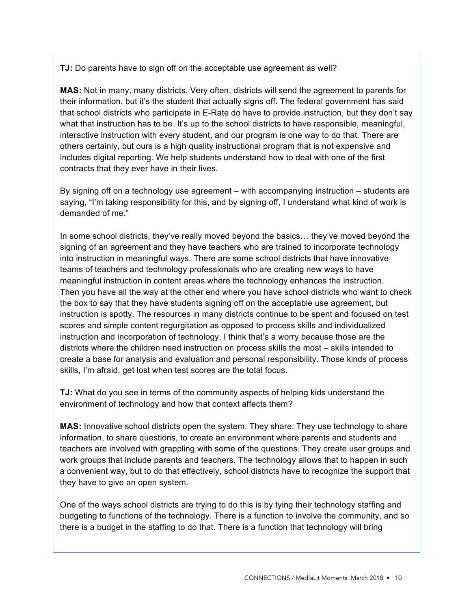**TJ:** Do parents have to sign off on the acceptable use agreement as well?

**MAS:** Not in many, many districts. Very often, districts will send the agreement to parents for their information, but it's the student that actually signs off. The federal government has said that school districts who participate in E-Rate do have to provide instruction, but they don't say what that instruction has to be. It's up to the school districts to have responsible, meaningful, interactive instruction with every student, and our program is one way to do that. There are others certainly, but ours is a high quality instructional program that is not expensive and includes digital reporting. We help students understand how to deal with one of the first contracts that they ever have in their lives.

By signing off on a technology use agreement – with accompanying instruction – students are saying, "I'm taking responsibility for this, and by signing off, I understand what kind of work is demanded of me."

In some school districts, they've really moved beyond the basics… they've moved beyond the signing of an agreement and they have teachers who are trained to incorporate technology into instruction in meaningful ways. There are some school districts that have innovative teams of teachers and technology professionals who are creating new ways to have meaningful instruction in content areas where the technology enhances the instruction. Then you have all the way at the other end where you have school districts who want to check the box to say that they have students signing off on the acceptable use agreement, but instruction is spotty. The resources in many districts continue to be spent and focused on test scores and simple content regurgitation as opposed to process skills and individualized instruction and incorporation of technology. I think that's a worry because those are the districts where the children need instruction on process skills the most – skills intended to create a base for analysis and evaluation and personal responsibility. Those kinds of process skills, I'm afraid, get lost when test scores are the total focus.

**TJ:** What do you see in terms of the community aspects of helping kids understand the environment of technology and how that context affects them?

**MAS:** Innovative school districts open the system. They share. They use technology to share information, to share questions, to create an environment where parents and students and teachers are involved with grappling with some of the questions. They create user groups and work groups that include parents and teachers. The technology allows that to happen in such a convenient way, but to do that effectively, school districts have to recognize the support that they have to give an open system.

One of the ways school districts are trying to do this is by tying their technology staffing and budgeting to functions of the technology. There is a function to involve the community, and so there is a budget in the staffing to do that. There is a function that technology will bring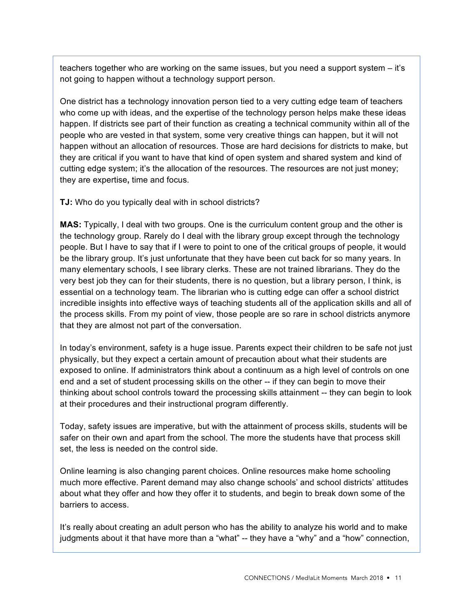teachers together who are working on the same issues, but you need a support system – it's not going to happen without a technology support person.

One district has a technology innovation person tied to a very cutting edge team of teachers who come up with ideas, and the expertise of the technology person helps make these ideas happen. If districts see part of their function as creating a technical community within all of the people who are vested in that system, some very creative things can happen, but it will not happen without an allocation of resources. Those are hard decisions for districts to make, but they are critical if you want to have that kind of open system and shared system and kind of cutting edge system; it's the allocation of the resources. The resources are not just money; they are expertise**,** time and focus.

**TJ:** Who do you typically deal with in school districts?

**MAS:** Typically, I deal with two groups. One is the curriculum content group and the other is the technology group. Rarely do I deal with the library group except through the technology people. But I have to say that if I were to point to one of the critical groups of people, it would be the library group. It's just unfortunate that they have been cut back for so many years. In many elementary schools, I see library clerks. These are not trained librarians. They do the very best job they can for their students, there is no question, but a library person, I think, is essential on a technology team. The librarian who is cutting edge can offer a school district incredible insights into effective ways of teaching students all of the application skills and all of the process skills. From my point of view, those people are so rare in school districts anymore that they are almost not part of the conversation.

In today's environment, safety is a huge issue. Parents expect their children to be safe not just physically, but they expect a certain amount of precaution about what their students are exposed to online. If administrators think about a continuum as a high level of controls on one end and a set of student processing skills on the other -- if they can begin to move their thinking about school controls toward the processing skills attainment -- they can begin to look at their procedures and their instructional program differently.

Today, safety issues are imperative, but with the attainment of process skills, students will be safer on their own and apart from the school. The more the students have that process skill set, the less is needed on the control side.

Online learning is also changing parent choices. Online resources make home schooling much more effective. Parent demand may also change schools' and school districts' attitudes about what they offer and how they offer it to students, and begin to break down some of the barriers to access.

It's really about creating an adult person who has the ability to analyze his world and to make judgments about it that have more than a "what" -- they have a "why" and a "how" connection,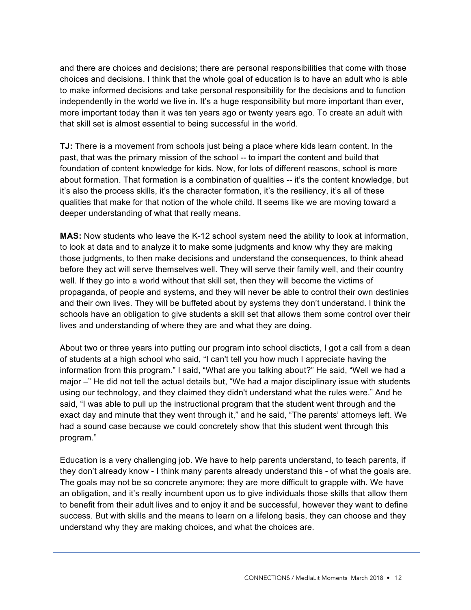and there are choices and decisions; there are personal responsibilities that come with those choices and decisions. I think that the whole goal of education is to have an adult who is able to make informed decisions and take personal responsibility for the decisions and to function independently in the world we live in. It's a huge responsibility but more important than ever, more important today than it was ten years ago or twenty years ago. To create an adult with that skill set is almost essential to being successful in the world.

**TJ:** There is a movement from schools just being a place where kids learn content. In the past, that was the primary mission of the school -- to impart the content and build that foundation of content knowledge for kids. Now, for lots of different reasons, school is more about formation. That formation is a combination of qualities -- it's the content knowledge, but it's also the process skills, it's the character formation, it's the resiliency, it's all of these qualities that make for that notion of the whole child. It seems like we are moving toward a deeper understanding of what that really means.

**MAS:** Now students who leave the K-12 school system need the ability to look at information, to look at data and to analyze it to make some judgments and know why they are making those judgments, to then make decisions and understand the consequences, to think ahead before they act will serve themselves well. They will serve their family well, and their country well. If they go into a world without that skill set, then they will become the victims of propaganda, of people and systems, and they will never be able to control their own destinies and their own lives. They will be buffeted about by systems they don't understand. I think the schools have an obligation to give students a skill set that allows them some control over their lives and understanding of where they are and what they are doing.

About two or three years into putting our program into school discticts, I got a call from a dean of students at a high school who said, "I can't tell you how much I appreciate having the information from this program." I said, "What are you talking about?" He said, "Well we had a major -" He did not tell the actual details but, "We had a major disciplinary issue with students using our technology, and they claimed they didn't understand what the rules were." And he said, "I was able to pull up the instructional program that the student went through and the exact day and minute that they went through it," and he said, "The parents' attorneys left. We had a sound case because we could concretely show that this student went through this program."

Education is a very challenging job. We have to help parents understand, to teach parents, if they don't already know - I think many parents already understand this - of what the goals are. The goals may not be so concrete anymore; they are more difficult to grapple with. We have an obligation, and it's really incumbent upon us to give individuals those skills that allow them to benefit from their adult lives and to enjoy it and be successful, however they want to define success. But with skills and the means to learn on a lifelong basis, they can choose and they understand why they are making choices, and what the choices are.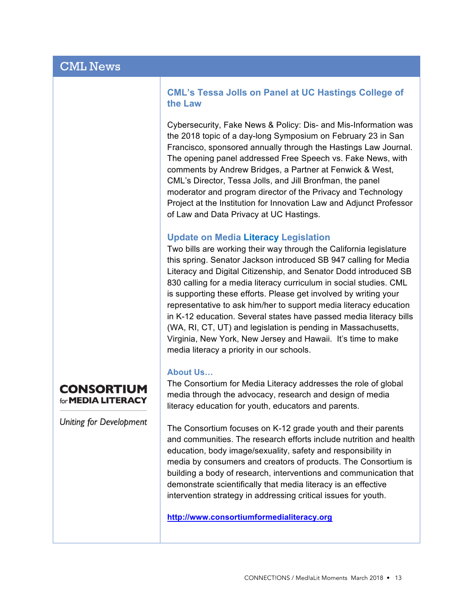## **CML's Tessa Jolls on Panel at UC Hastings College of the Law**

Cybersecurity, Fake News & Policy: Dis- and Mis-Information was the 2018 topic of a day-long Symposium on February 23 in San Francisco, sponsored annually through the Hastings Law Journal. The opening panel addressed Free Speech vs. Fake News, with comments by Andrew Bridges, a Partner at Fenwick & West, CML's Director, Tessa Jolls, and Jill Bronfman, the panel moderator and program director of the Privacy and Technology Project at the Institution for Innovation Law and Adjunct Professor of Law and Data Privacy at UC Hastings.

## **Update on Media Literacy Legislation**

Two bills are working their way through the California legislature this spring. Senator Jackson introduced SB 947 calling for Media Literacy and Digital Citizenship, and Senator Dodd introduced SB 830 calling for a media literacy curriculum in social studies. CML is supporting these efforts. Please get involved by writing your representative to ask him/her to support media literacy education in K-12 education. Several states have passed media literacy bills (WA, RI, CT, UT) and legislation is pending in Massachusetts, Virginia, New York, New Jersey and Hawaii. It's time to make media literacy a priority in our schools.

## **About Us…**

The Consortium for Media Literacy addresses the role of global media through the advocacy, research and design of media literacy education for youth, educators and parents.

The Consortium focuses on K-12 grade youth and their parents and communities. The research efforts include nutrition and health education, body image/sexuality, safety and responsibility in media by consumers and creators of products. The Consortium is building a body of research, interventions and communication that demonstrate scientifically that media literacy is an effective intervention strategy in addressing critical issues for youth.

**http://www.consortiumformedialiteracy.org**

# **CONSORTIUM** for **MEDIA LITERACY**

**Uniting for Development**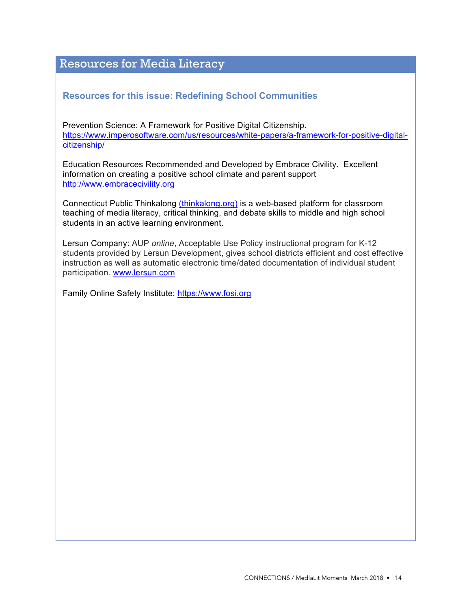# Resources for Media Literacy

## **Resources for this issue: Redefining School Communities**

Prevention Science: A Framework for Positive Digital Citizenship. https://www.imperosoftware.com/us/resources/white-papers/a-framework-for-positive-digitalcitizenship/

Education Resources Recommended and Developed by Embrace Civility. Excellent information on creating a positive school climate and parent support http://www.embracecivility.org

Connecticut Public Thinkalong (thinkalong.org) is a web-based platform for classroom teaching of media literacy, critical thinking, and debate skills to middle and high school students in an active learning environment.

Lersun Company: AUP *online*, Acceptable Use Policy instructional program for K-12 students provided by Lersun Development, gives school districts efficient and cost effective instruction as well as automatic electronic time/dated documentation of individual student participation. www.lersun.com

Family Online Safety Institute: https://www.fosi.org